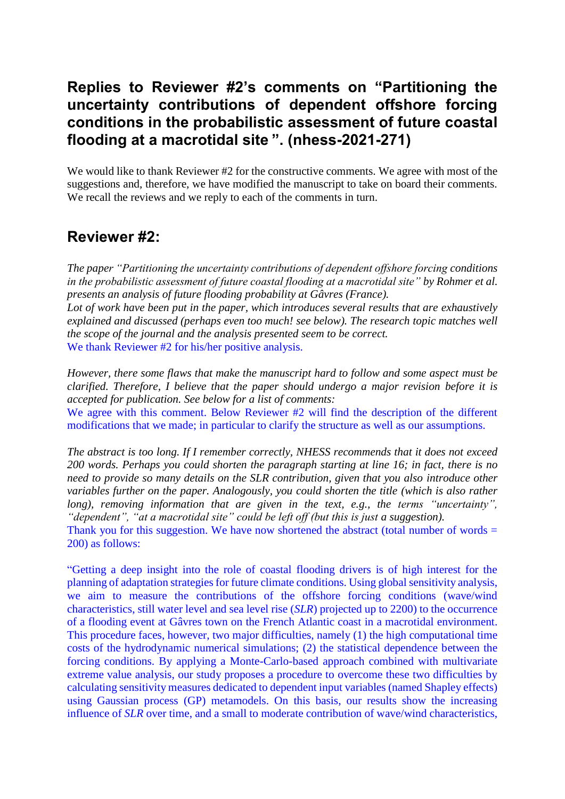# **Replies to Reviewer #2's comments on "Partitioning the uncertainty contributions of dependent offshore forcing conditions in the probabilistic assessment of future coastal flooding at a macrotidal site ". (nhess-2021-271)**

We would like to thank Reviewer #2 for the constructive comments. We agree with most of the suggestions and, therefore, we have modified the manuscript to take on board their comments. We recall the reviews and we reply to each of the comments in turn.

## **Reviewer #2:**

*The paper "Partitioning the uncertainty contributions of dependent offshore forcing conditions in the probabilistic assessment of future coastal flooding at a macrotidal site" by Rohmer et al. presents an analysis of future flooding probability at Gâvres (France).*

*Lot of work have been put in the paper, which introduces several results that are exhaustively explained and discussed (perhaps even too much! see below). The research topic matches well the scope of the journal and the analysis presented seem to be correct.*

We thank Reviewer #2 for his/her positive analysis.

*However, there some flaws that make the manuscript hard to follow and some aspect must be clarified. Therefore, I believe that the paper should undergo a major revision before it is accepted for publication. See below for a list of comments:*

We agree with this comment. Below Reviewer #2 will find the description of the different modifications that we made; in particular to clarify the structure as well as our assumptions.

*The abstract is too long. If I remember correctly, NHESS recommends that it does not exceed 200 words. Perhaps you could shorten the paragraph starting at line 16; in fact, there is no need to provide so many details on the SLR contribution, given that you also introduce other variables further on the paper. Analogously, you could shorten the title (which is also rather long), removing information that are given in the text, e.g., the terms "uncertainty", "dependent", "at a macrotidal site" could be left off (but this is just a suggestion).*

Thank you for this suggestion. We have now shortened the abstract (total number of words  $=$ 200) as follows:

"Getting a deep insight into the role of coastal flooding drivers is of high interest for the planning of adaptation strategies for future climate conditions. Using global sensitivity analysis, we aim to measure the contributions of the offshore forcing conditions (wave/wind characteristics, still water level and sea level rise (*SLR*) projected up to 2200) to the occurrence of a flooding event at Gâvres town on the French Atlantic coast in a macrotidal environment. This procedure faces, however, two major difficulties, namely (1) the high computational time costs of the hydrodynamic numerical simulations; (2) the statistical dependence between the forcing conditions. By applying a Monte-Carlo-based approach combined with multivariate extreme value analysis, our study proposes a procedure to overcome these two difficulties by calculating sensitivity measures dedicated to dependent input variables (named Shapley effects) using Gaussian process (GP) metamodels. On this basis, our results show the increasing influence of *SLR* over time, and a small to moderate contribution of wave/wind characteristics,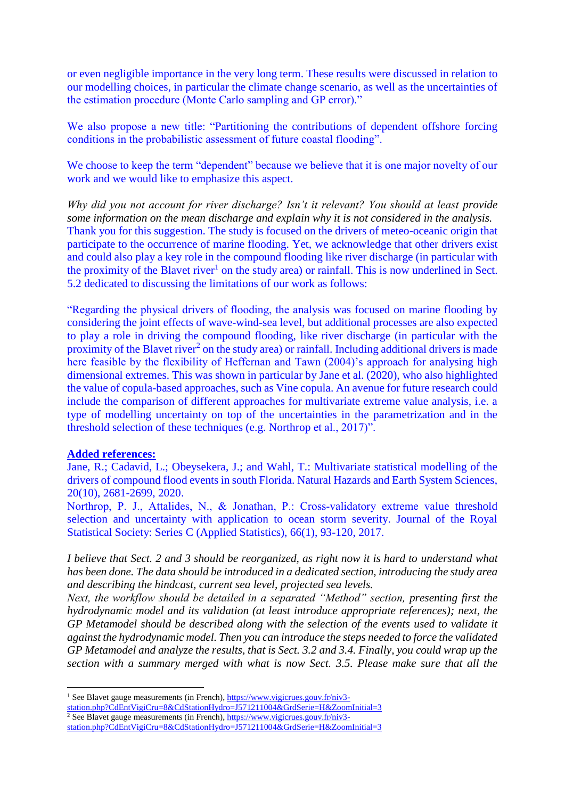or even negligible importance in the very long term. These results were discussed in relation to our modelling choices, in particular the climate change scenario, as well as the uncertainties of the estimation procedure (Monte Carlo sampling and GP error)."

We also propose a new title: "Partitioning the contributions of dependent offshore forcing conditions in the probabilistic assessment of future coastal flooding".

We choose to keep the term "dependent" because we believe that it is one major novelty of our work and we would like to emphasize this aspect.

*Why did you not account for river discharge? Isn't it relevant? You should at least provide some information on the mean discharge and explain why it is not considered in the analysis.* Thank you for this suggestion. The study is focused on the drivers of meteo-oceanic origin that participate to the occurrence of marine flooding. Yet, we acknowledge that other drivers exist and could also play a key role in the compound flooding like river discharge (in particular with the proximity of the Blavet river<sup>1</sup> on the study area) or rainfall. This is now underlined in Sect. 5.2 dedicated to discussing the limitations of our work as follows:

"Regarding the physical drivers of flooding, the analysis was focused on marine flooding by considering the joint effects of wave-wind-sea level, but additional processes are also expected to play a role in driving the compound flooding, like river discharge (in particular with the proximity of the Blavet river<sup>2</sup> on the study area) or rainfall. Including additional drivers is made here feasible by the flexibility of Heffernan and Tawn (2004)'s approach for analysing high dimensional extremes. This was shown in particular by Jane et al. (2020), who also highlighted the value of copula-based approaches, such as Vine copula. An avenue for future research could include the comparison of different approaches for multivariate extreme value analysis, i.e. a type of modelling uncertainty on top of the uncertainties in the parametrization and in the threshold selection of these techniques (e.g. Northrop et al., 2017)".

#### **Added references:**

1

Jane, R.; Cadavid, L.; Obeysekera, J.; and Wahl, T.: Multivariate statistical modelling of the drivers of compound flood events in south Florida. Natural Hazards and Earth System Sciences, 20(10), 2681-2699, 2020.

Northrop, P. J., Attalides, N., & Jonathan, P.: Cross-validatory extreme value threshold selection and uncertainty with application to ocean storm severity. Journal of the Royal Statistical Society: Series C (Applied Statistics), 66(1), 93-120, 2017.

*I believe that Sect. 2 and 3 should be reorganized, as right now it is hard to understand what has been done. The data should be introduced in a dedicated section, introducing the study area and describing the hindcast, current sea level, projected sea levels.*

*Next, the workflow should be detailed in a separated "Method" section, presenting first the hydrodynamic model and its validation (at least introduce appropriate references); next, the GP Metamodel should be described along with the selection of the events used to validate it against the hydrodynamic model. Then you can introduce the steps needed to force the validated GP Metamodel and analyze the results, that is Sect. 3.2 and 3.4. Finally, you could wrap up the section with a summary merged with what is now Sect. 3.5. Please make sure that all the* 

<sup>&</sup>lt;sup>1</sup> See Blavet gauge measurements (in French)[, https://www.vigicrues.gouv.fr/niv3](https://www.vigicrues.gouv.fr/niv3-station.php?CdEntVigiCru=8&CdStationHydro=J571211004&GrdSerie=H&ZoomInitial=3) [station.php?CdEntVigiCru=8&CdStationHydro=J571211004&GrdSerie=H&ZoomInitial=3](https://www.vigicrues.gouv.fr/niv3-station.php?CdEntVigiCru=8&CdStationHydro=J571211004&GrdSerie=H&ZoomInitial=3) <sup>2</sup> See Blavet gauge measurements (in French), [https://www.vigicrues.gouv.fr/niv3-](https://www.vigicrues.gouv.fr/niv3-station.php?CdEntVigiCru=8&CdStationHydro=J571211004&GrdSerie=H&ZoomInitial=3)

[station.php?CdEntVigiCru=8&CdStationHydro=J571211004&GrdSerie=H&ZoomInitial=3](https://www.vigicrues.gouv.fr/niv3-station.php?CdEntVigiCru=8&CdStationHydro=J571211004&GrdSerie=H&ZoomInitial=3)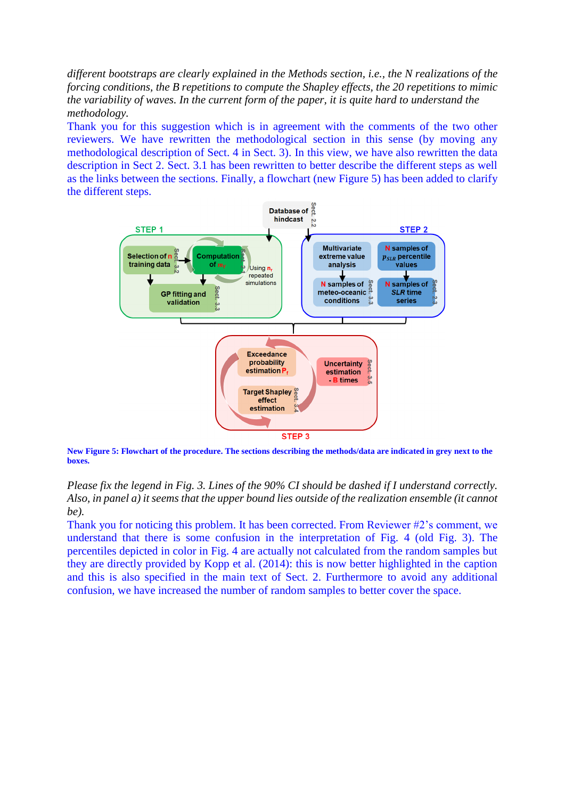*different bootstraps are clearly explained in the Methods section, i.e., the N realizations of the forcing conditions, the B repetitions to compute the Shapley effects, the 20 repetitions to mimic the variability of waves. In the current form of the paper, it is quite hard to understand the methodology.*

Thank you for this suggestion which is in agreement with the comments of the two other reviewers. We have rewritten the methodological section in this sense (by moving any methodological description of Sect. 4 in Sect. 3). In this view, we have also rewritten the data description in Sect 2. Sect. 3.1 has been rewritten to better describe the different steps as well as the links between the sections. Finally, a flowchart (new Figure 5) has been added to clarify the different steps.



**New Figure 5: Flowchart of the procedure. The sections describing the methods/data are indicated in grey next to the boxes.** 

### *Please fix the legend in Fig. 3. Lines of the 90% CI should be dashed if I understand correctly. Also, in panel a) it seems that the upper bound lies outside of the realization ensemble (it cannot be).*

Thank you for noticing this problem. It has been corrected. From Reviewer #2's comment, we understand that there is some confusion in the interpretation of Fig. 4 (old Fig. 3). The percentiles depicted in color in Fig. 4 are actually not calculated from the random samples but they are directly provided by Kopp et al. (2014): this is now better highlighted in the caption and this is also specified in the main text of Sect. 2. Furthermore to avoid any additional confusion, we have increased the number of random samples to better cover the space.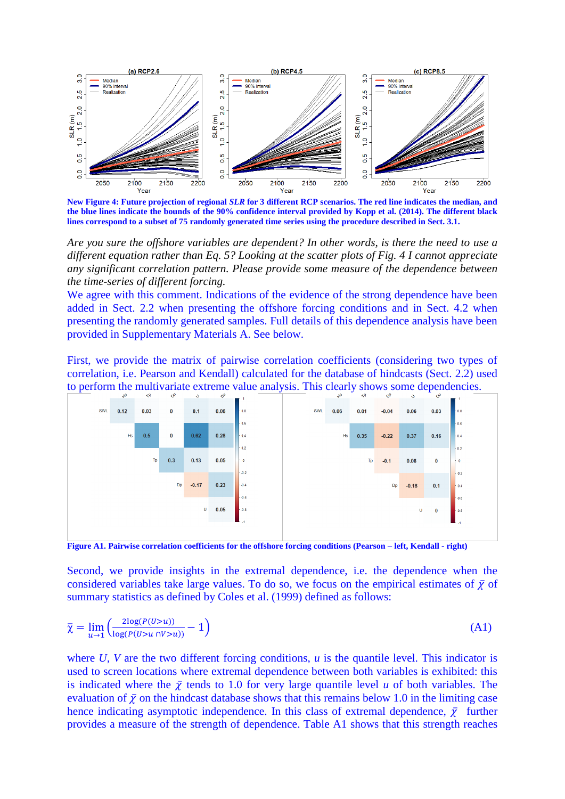

**New Figure 4: Future projection of regional** *SLR* **for 3 different RCP scenarios. The red line indicates the median, and the blue lines indicate the bounds of the 90% confidence interval provided by Kopp et al. (2014). The different black lines correspond to a subset of 75 randomly generated time series using the procedure described in Sect. 3.1.**

*Are you sure the offshore variables are dependent? In other words, is there the need to use a different equation rather than Eq. 5? Looking at the scatter plots of Fig. 4 I cannot appreciate any significant correlation pattern. Please provide some measure of the dependence between the time-series of different forcing.*

We agree with this comment. Indications of the evidence of the strong dependence have been added in Sect. 2.2 when presenting the offshore forcing conditions and in Sect. 4.2 when presenting the randomly generated samples. Full details of this dependence analysis have been provided in Supplementary Materials A. See below.

First, we provide the matrix of pairwise correlation coefficients (considering two types of correlation, i.e. Pearson and Kendall) calculated for the database of hindcasts (Sect. 2.2) used to perform the multivariate extreme value analysis. This clearly shows some dependencies.



**Figure A1. Pairwise correlation coefficients for the offshore forcing conditions (Pearson – left, Kendall - right)**

Second, we provide insights in the extremal dependence, i.e. the dependence when the considered variables take large values. To do so, we focus on the empirical estimates of  $\bar{\chi}$  of summary statistics as defined by Coles et al. (1999) defined as follows:

$$
\overline{\chi} = \lim_{u \to 1} \left( \frac{2\log(P(U > u))}{\log(P(U > u \cap V > u))} - 1 \right) \tag{A1}
$$

where  $U$ ,  $V$  are the two different forcing conditions,  $u$  is the quantile level. This indicator is used to screen locations where extremal dependence between both variables is exhibited: this is indicated where the  $\bar{\chi}$  tends to 1.0 for very large quantile level *u* of both variables. The evaluation of  $\bar{\chi}$  on the hindcast database shows that this remains below 1.0 in the limiting case hence indicating asymptotic independence. In this class of extremal dependence,  $\bar{\chi}$  further provides a measure of the strength of dependence. Table A1 shows that this strength reaches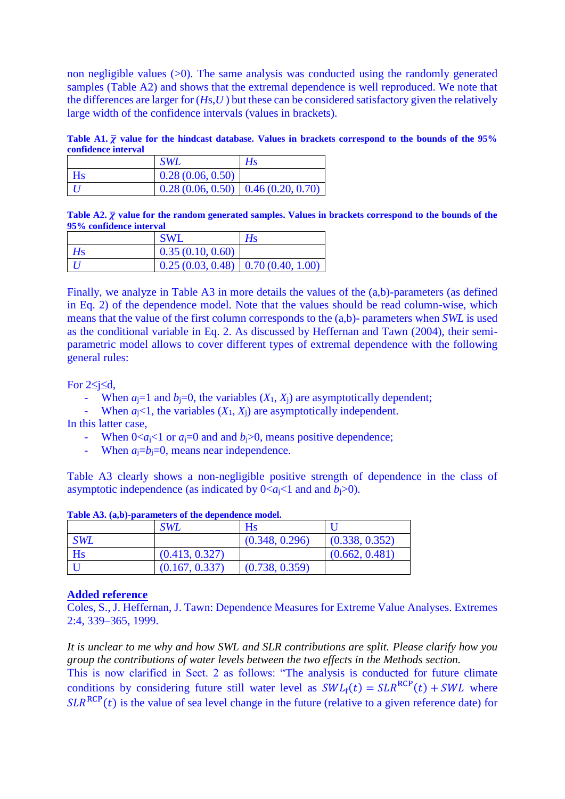non negligible values  $(0)$ . The same analysis was conducted using the randomly generated samples (Table A2) and shows that the extremal dependence is well reproduced. We note that the differences are larger for (*H*s,*U* ) but these can be considered satisfactory given the relatively large width of the confidence intervals (values in brackets).

Table A1.  $\bar{\chi}$  value for the hindcast database. Values in brackets correspond to the bounds of the 95% **confidence interval**

|           | <b>SWL</b>                             | Hs |
|-----------|----------------------------------------|----|
| <b>Hs</b> | 0.28(0.06, 0.50)                       |    |
|           | $0.28(0.06, 0.50)$ 0.46 $(0.20, 0.70)$ |    |

**Table A2.** ̅ **value for the random generated samples. Values in brackets correspond to the bounds of the 95% confidence interval**

|    | <b>SWL</b>                             | Hs |
|----|----------------------------------------|----|
| Hs | 0.35(0.10, 0.60)                       |    |
|    | $0.25(0.03, 0.48)$ 0.70 $(0.40, 1.00)$ |    |

Finally, we analyze in Table A3 in more details the values of the (a,b)-parameters (as defined in Eq. 2) of the dependence model. Note that the values should be read column-wise, which means that the value of the first column corresponds to the (a,b)- parameters when *SWL* is used as the conditional variable in Eq. 2. As discussed by Heffernan and Tawn (2004), their semiparametric model allows to cover different types of extremal dependence with the following general rules:

For  $2 \leq i \leq d$ ,

- When  $a_i=1$  and  $b_i=0$ , the variables  $(X_1, X_i)$  are asymptotically dependent;
- When  $a_i < 1$ , the variables  $(X_1, X_i)$  are asymptotically independent.

In this latter case,

- When  $0 \lt a_j \lt 1$  or  $a_j = 0$  and and  $b_j > 0$ , means positive dependence;
- When  $a_i=b_i=0$ , means near independence.

Table A3 clearly shows a non-negligible positive strength of dependence in the class of asymptotic independence (as indicated by  $0 \le a_{i} \le 1$  and and  $b_{i} \ge 0$ ).

|            | <b>SWL</b>     | Hs             |                |
|------------|----------------|----------------|----------------|
| <b>SWL</b> |                | (0.348, 0.296) | (0.338, 0.352) |
| <b>Hs</b>  | (0.413, 0.327) |                | (0.662, 0.481) |
|            | (0.167, 0.337) | (0.738, 0.359) |                |

**Table A3. (a,b)-parameters of the dependence model.** 

#### **Added reference**

Coles, S., J. Heffernan, J. Tawn: Dependence Measures for Extreme Value Analyses. Extremes 2:4, 339–365, 1999.

*It is unclear to me why and how SWL and SLR contributions are split. Please clarify how you group the contributions of water levels between the two effects in the Methods section.*

This is now clarified in Sect. 2 as follows: "The analysis is conducted for future climate conditions by considering future still water level as  $SWL_f(t) = SLR^{RCP}(t) + SWL$  where  $SLR^{RCP}(t)$  is the value of sea level change in the future (relative to a given reference date) for